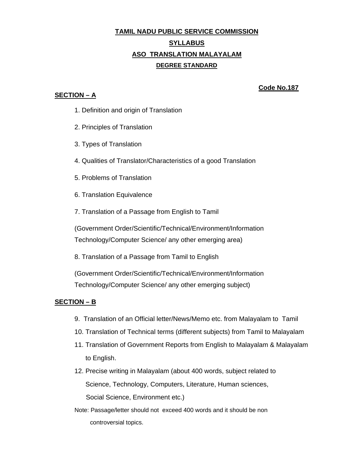## **TAMIL NADU PUBLIC SERVICE COMMISSION SYLLABUS ASO TRANSLATION MALAYALAM DEGREE STANDARD**

## **SECTION – A**

 **Code No.187**

- 1. Definition and origin of Translation
- 2. Principles of Translation
- 3. Types of Translation
- 4. Qualities of Translator/Characteristics of a good Translation
- 5. Problems of Translation
- 6. Translation Equivalence
- 7. Translation of a Passage from English to Tamil

(Government Order/Scientific/Technical/Environment/Information Technology/Computer Science/ any other emerging area)

8. Translation of a Passage from Tamil to English

(Government Order/Scientific/Technical/Environment/Information Technology/Computer Science/ any other emerging subject)

## **SECTION – B**

- 9. Translation of an Official letter/News/Memo etc. from Malayalam to Tamil
- 10. Translation of Technical terms (different subjects) from Tamil to Malayalam
- 11. Translation of Government Reports from English to Malayalam & Malayalam to English.
- 12. Precise writing in Malayalam (about 400 words, subject related to Science, Technology, Computers, Literature, Human sciences, Social Science, Environment etc.)
- Note: Passage/letter should not exceed 400 words and it should be non controversial topics.